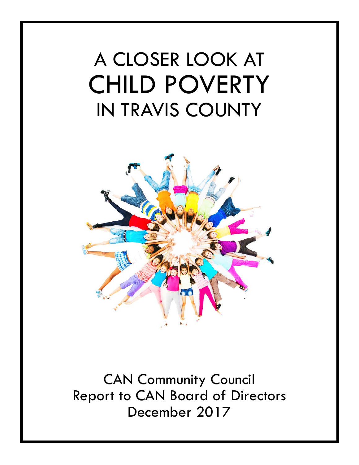# A CLOSER LOOK AT CHILD POVERTY IN TRAVIS COUNTY



CAN Community Council Report to CAN Board of Directors December 2017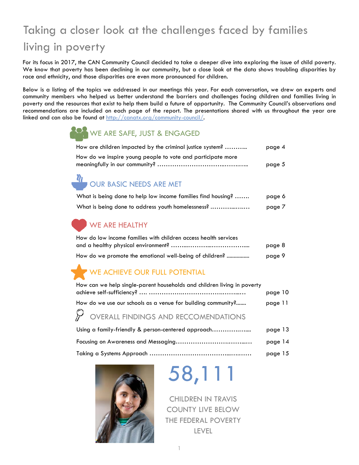# Taking a closer look at the challenges faced by families living in poverty

For its focus in 2017, the CAN Community Council decided to take a deeper dive into exploring the issue of child poverty. We know that poverty has been declining in our community, but a close look at the data shows troubling disparities by race and ethnicity, and those disparities are even more pronounced for children.

Below is a listing of the topics we addressed in our meetings this year. For each conversation, we drew on experts and community members who helped us better understand the barriers and challenges facing children and families living in poverty and the resources that exist to help them build a future of opportunity. The Community Council's observations and recommendations are included on each page of the report. The presentations shared with us throughout the year are linked and can also be found at http://canatx.org/community-council/.

## WE ARE SAFE, JUST & ENGAGED

| How are children impacted by the criminal justice system?   | page 4 |
|-------------------------------------------------------------|--------|
| How do we inspire young people to vote and participate more |        |
|                                                             | page 5 |

# *U*<br>OUR BASIC NEEDS ARE MET

| What is being done to help low income families find housing? | page 6 |
|--------------------------------------------------------------|--------|
| What is being done to address youth homelessness?            | page 7 |

## WE ARE HEALTHY

| How do low income families with children access health services |        |
|-----------------------------------------------------------------|--------|
|                                                                 | page 8 |
| How do we promote the emotional well-being of children?         | page 9 |

## WE ACHIEVE OUR FULL POTENTIAL

| How can we help single-parent households and children living in poverty | page 10 |
|-------------------------------------------------------------------------|---------|
| How do we use our schools as a venue for building community?            | page 11 |
| $\mathcal P$ OVERALL FINDINGS AND RECCOMENDATIONS                       |         |
| Using a family-friendly & person-centered approach                      | page 13 |
|                                                                         | page 14 |
|                                                                         | page 15 |



# 58,111

CHILDREN IN TRAVIS COUNTY LIVE BELOW THE FEDERAL POVERTY LEVEL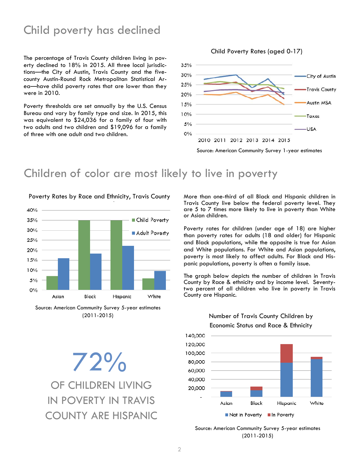## Child poverty has declined

The percentage of Travis County children living in poverty declined to 18% in 2015. All three local jurisdictions—the City of Austin, Travis County and the fivecounty Austin-Round Rock Metropolitan Statistical Area—have child poverty rates that are lower than they were in 2010.

Poverty thresholds are set annually by the U.S. Census Bureau and vary by family type and size. In 2015, this was equivalent to \$24,036 for a family of four with two adults and two children and \$19,096 for a family of three with one adult and two children.

#### Child Poverty Rates (aged 0-17)



## Children of color are most likely to live in poverty



Source: American Community Survey 5-year estimates (2011-2015)

OF CHILDREN LIVING IN POVERTY IN TRAVIS COUNTY ARE HISPANIC 72%

More than one-third of all Black and Hispanic children in Travis County live below the federal poverty level. They are 5 to 7 times more likely to live in poverty than White or Asian children.

Poverty rates for children (under age of 18) are higher than poverty rates for adults (18 and older) for Hispanic and Black populations, while the opposite is true for Asian and White populations. For White and Asian populations, poverty is most likely to affect adults. For Black and Hispanic populations, poverty is often a family issue.

The graph below depicts the number of children in Travis County by Race & ethnicity and by income level. Seventytwo percent of all children who live in poverty in Travis County are Hispanic.



#### Number of Travis County Children by Economic Status and Race & Ethnicity

Source: American Community Survey 5-year estimates (2011-2015)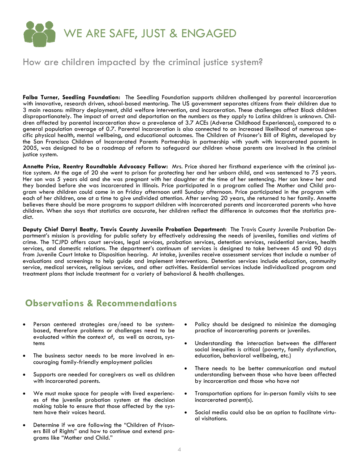

### How are children impacted by the criminal justice system?

**Falba Turner, Seedling Foundation:** The Seedling Foundation supports children challenged by parental incarceration with innovative, research driven, school-based mentoring. The US government separates citizens from their children due to 3 main reasons: military deployment, child welfare intervention, and incarceration. These challenges affect Black children disproportionately. The impact of arrest and deportation on the numbers as they apply to Latinx children is unknown. Children affected by parental incarceration show a prevalence of 3.7 ACEs (Adverse Childhood Experiences), compared to a general population average of 0.7. Parental incarceration is also connected to an increased likelihood of numerous specific physical health, mental wellbeing, and educational outcomes. The Children of Prisoner's Bill of Rights, developed by the San Francisco Children of Incarcerated Parents Partnership in partnership with youth with incarcerated parents in 2005, was designed to be a roadmap of reform to safeguard our children whose parents are involved in the criminal justice system.

**Annette Price, Reentry Roundtable Advocacy Fellow:** Mrs. Price shared her firsthand experience with the criminal justice system. At the age of 20 she went to prison for protecting her and her unborn child, and was sentenced to 75 years. Her son was 5 years old and she was pregnant with her daughter at the time of her sentencing. Her son knew her and they bonded before she was incarcerated in Illinois. Price participated in a program called The Mother and Child program where children could come in on Friday afternoon until Sunday afternoon. Price participated in the program with each of her children, one at a time to give undivided attention. After serving 20 years, she returned to her family. Annette believes there should be more programs to support children with incarcerated parents and incarcerated parents who have children. When she says that statistics are accurate, her children reflect the difference in outcomes that the statistics predict.

**Deputy Chief Darryl Beatty, Travis County Juvenile Probation Department:** The Travis County Juvenile Probation Department's mission is providing for public safety by effectively addressing the needs of juveniles, families and victims of crime. The TCJPD offers court services, legal services, probation services, detention services, residential services, health services, and domestic relations. The department's continuum of services is designed to take between 45 and 90 days from Juvenile Court Intake to Disposition hearing. At intake, juveniles receive assessment services that include a number of evaluations and screenings to help guide and implement interventions. Detention services include education, community service, medical services, religious services, and other activities. Residential services include individualized program and treatment plans that include treatment for a variety of behavioral & health challenges.

- Person centered strategies are/need to be systembased, therefore problems or challenges need to be evaluated within the context of, as well as across, systems
- The business sector needs to be more involved in encouraging family-friendly employment policies
- Supports are needed for caregivers as well as children with incarcerated parents.
- We must make space for people with lived experiences of the juvenile probation system at the decision making table to ensure that those affected by the system have their voices heard.
- Determine if we are following the "Children of Prisoners Bill of Rights" and how to continue and extend programs like "Mother and Child."
- Policy should be designed to minimize the damaging practice of incarcerating parents or juveniles.
- Understanding the interaction between the different social inequities is critical (poverty, family dysfunction, education, behavioral wellbeing, etc.)
- There needs to be better communication and mutual understanding between those who have been affected by incarceration and those who have not
- Transportation options for in-person family visits to see incarcerated parent(s).
- Social media could also be an option to facilitate virtual visitations.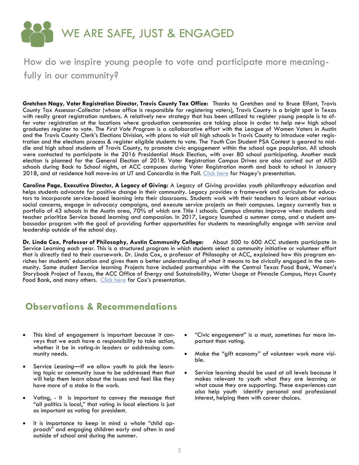

## How do we inspire young people to vote and participate more meaningfully in our community?

**Gretchen Nagy, Voter Registration Director, Travis County Tax Office:** Thanks to Gretchen and to Bruce Elfant, Travis County Tax Assessor-Collector (whose office is responsible for registering voters), Travis County is a bright spot in Texas with really great registration numbers. A relatively new strategy that has been utilized to register young people is to offer voter registration at the locations where graduation ceremonies are taking place in order to help new high school graduates register to vote. The *First Vote Program* is a collaborative effort with the League of Women Voters in Austin and the Travis County Clerk's Elections Division, with plans to visit all high schools in Travis County to introduce voter registration and the elections process & register eligible students to vote. The *Youth Can* Student PSA Contest is geared to middle and high school students of Travis County, to promote civic engagement within the school age population. All schools were contacted to participate in the 2016 Presidential Mock Election, with over 80 school participating. Another mock election is planned for the General Election of 2018. Voter Registration Campus Drives are also carried out at AISD schools during Back to School nights, at ACC campuses during Voter Registration month and back to school in January 2018, and at residence hall move-ins at UT and Concordia in the Fall. Click here for Nagey's presentation.

**Caroline Page, Executive Director, A Legacy of Giving:** A Legacy of Giving provides youth philanthropy education and helps students advocate for positive change in their community. Legacy provides a framework and curriculum for educators to incorporate service-based learning into their classrooms. Students work with their teachers to learn about various social concerns, engage in advocacy campaigns, and execute service projects on their campuses. Legacy currently has a portfolio of 43 schools in the Austin area, 70% of which are Title I schools. Campus climates improve when students and teacher prioritize Service based learning and compassion. In 2017, Legacy launched a summer camp, and a student ambassador program with the goal of providing further opportunities for students to meaningfully engage with service and leadership outside of the school day.

**Dr. Linda Cox, Professor of Philosophy, Austin Community College:** About 500 to 600 ACC students participate in Service Learning each year. This is a structured program in which students select a community initiative or volunteer effort that is directly tied to their coursework. Dr. Linda Cox, a professor of Philosophy at ACC, explained how this program enriches her students' education and gives them a better understanding of what it means to be civically engaged in the community. Some student Service learning Projects have included partnerships with the Central Texas Food Bank, Women's Storybook Project of Texas, the ACC Office of Energy and Sustainability, Water Usage at Pinnacle Campus, Hays County Food Bank, and many others. Click here for Cox's presentation.

- This kind of engagement is important because it conveys that we each have a responsibility to take action, whether it be in voting-in leaders or addressing community needs.
- Service Leaning—If we allow youth to pick the learning topic or community issue to be addressed then that will help them learn about the issues and feel like they have more of a stake in the work.
- Voting, It is important to convey the message that "all politics is local," that voting in local elections is just as important as voting for president.
- It is importance to keep in mind a whole "child approach" and engaging children early and often in and outside of school and during the summer.
- "Civic engagement" is a must, sometimes far more important than voting.
- Make the "gift economy" of volunteer work more visible.
- Service learning should be used at all levels because it makes relevant to youth what they are learning or what cause they are supporting. These experiences can also help youth identify personal and professional interest, helping them with career choices.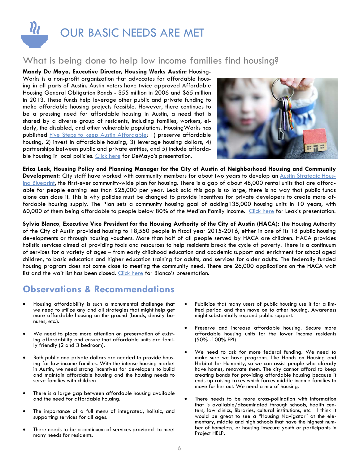

## What is being done to help low income families find housing?

**Mandy De Mayo, Executive Director, Housing Works Austin:** Housing-Works is a non-profit organization that advocates for affordable housing in all parts of Austin. Austin voters have twice approved Affordable Housing General Obligation Bonds - \$55 million in 2006 and \$65 million in 2013. These funds help leverage other public and private funding to make affordable housing projects feasible. However, there continues to be a pressing need for affordable housing in Austin, a need that is shared by a diverse group of residents, including families, workers, elderly, the disabled, and other vulnerable populations. HousingWorks has published Five Steps to keep Austin Affordable: 1) preserve affordable housing, 2) invest in affordable housing, 3) leverage housing dollars, 4) partnerships between public and private entities, and 5) include affordable housing in local policies. Click here for DeMayo's presentation.



**Erica Leak, Housing Policy and Planning Manager for the City of Austin of Neighborhood Housing and Community**  Development: City staff have worked with community members for about two years to develop an Austin Strategic Housing Blueprint, the first-ever community-wide plan for housing. There is a gap of about 48,000 rental units that are affordable for people earning less than \$25,000 per year. Leak said this gap is so large, there is no way that public funds alone can close it. This is why policies must be changed to provide incentives for private developers to create more affordable housing supply. The Plan sets a community housing goal of adding135,000 housing units in 10 years, with 60,000 of them being affordable to people below 80% of the Median Family Income. Click here for Leak's presentation.

**Sylvia Blanco, Executive Vice President for the Housing Authority of the City of Austin (HACA):** The Housing Authority of the City of Austin provided housing to 18,550 people in fiscal year 2015-2016, either in one of its 18 public housing developments or through housing vouchers. More than half of all people served by HACA are children. HACA provides holistic services aimed at providing tools and resources to help residents break the cycle of poverty. There is a continuum of services for a variety of ages – from early childhood education and academic support and enrichment for school aged children, to basic education and higher education training for adults, and services for older adults. The federally funded housing program does not come close to meeting the community need. There are 26,000 applications on the HACA wait list and the wait list has been closed. Click here for Blanco's presentation.

- Housing affordability is such a monumental challenge that we need to utilize any and all strategies that might help get more affordable housing on the ground (bonds, density bonuses, etc.).
- We need to place more attention on preservation of existing affordability and ensure that affordable units are family friendly (2 and 3 bedroom).
- Both public and private dollars are needed to provide housing for low-income families. With the intense housing market in Austin, we need strong incentives for developers to build and maintain affordable housing and the housing needs to serve families with children
- There is a large gap between affordable housing available and the need for affordable housing.
- The importance of a full menu of integrated, holistic, and supporting services for all ages.
- There needs to be a continuum of services provided to meet many needs for residents.
- Publicize that many users of public housing use it for a limited period and then move on to other housing. Awareness might substantially expand public support.
- Preserve and increase affordable housing. Secure more affordable housing units for the lower income residents (50% -100% FPI)
- We need to ask for more federal funding. We need to make sure we have programs, like Hands on Housing and Habitat for Humanity, so we can assist people who already have homes, renovate them. The city cannot afford to keep creating bonds for providing affordable housing because it ends up raising taxes which forces middle income families to move further out. We need a mix of housing.
- There needs to be more cross-pollination with information that is available/disseminated through schools, health centers, law clinics, libraries, cultural institutions, etc. I think it would be great to see a "Housing Navigator" at the elementary, middle and high schools that have the highest number of homeless, or housing insecure youth or participants in Project HELP.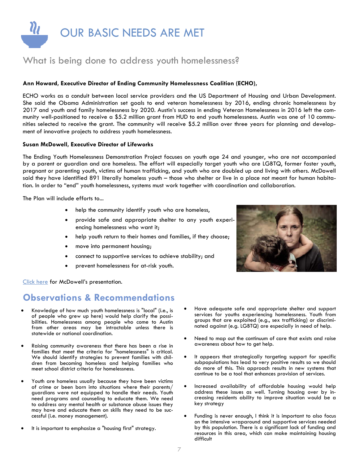

## What is being done to address youth homelessness?

#### **Ann Howard, Executive Director of Ending Community Homelessness Coalition (ECHO),**

ECHO works as a conduit between local service providers and the US Department of Housing and Urban Development. She said the Obama Administration set goals to end veteran homelessness by 2016, ending chronic homelessness by 2017 and youth and family homelessness by 2020. Austin's success in ending Veteran Homelessness in 2016 left the community well-positioned to receive a \$5.2 million grant from HUD to end youth homelessness. Austin was one of 10 communities selected to receive the grant. The community will receive \$5.2 million over three years for planning and development of innovative projects to address youth homelessness.

#### **Susan McDowell, Executive Director of Lifeworks**

The Ending Youth Homelessness Demonstration Project focuses on youth age 24 and younger, who are not accompanied by a parent or guardian and are homeless. The effort will especially target youth who are LGBTQ, former foster youth, pregnant or parenting youth, victims of human trafficking, and youth who are doubled up and living with others. McDowell said they have identified 891 literally homeless youth – those who shelter or live in a place not meant for human habitation. In order to "end" youth homelessness, systems must work together with coordination and collaboration.

The Plan will include efforts to...

- help the community identify youth who are homeless,
- provide safe and appropriate shelter to any youth experiencing homelessness who want it;
- help youth return to their homes and families, if they choose;
- move into permanent housing;
- connect to supportive services to achieve stability; and
- prevent homelessness for at-risk youth.



- Knowledge of how much youth homelessness is "local" (i.e., is of people who grew up here) would help clarify the possibilities. Homelessness among people who come to Austin from other areas may be intractable unless there is statewide or national coordination.
- Raising community awareness that there has been a rise in families that meet the criteria for "homelessness" is critical. We should identify strategies to prevent families with children from becoming homeless and helping families who meet school district criteria for homelessness.
- Youth are homeless usually because they have been victims of crime or been born into situations where their parents/ guardians were not equipped to handle their needs. Youth need programs and counseling to educate them. We need to address any mental health or substance abuse issues they may have and educate them on skills they need to be successful (i.e. money management).
- It is important to emphasize a "housing first" strategy.
- Have adequate safe and appropriate shelter and support services for youths experiencing homelessness. Youth from groups that are exploited (e.g., sex trafficking) or discriminated against (e.g. LGBTQ) are especially in need of help.
- Need to map out the continuum of care that exists and raise awareness about how to get help.
- It appears that strategically targeting support for specific subpopulations has lead to very positive results so we should do more of this. This approach results in new systems that continue to be a tool that enhances provision of services.
- Increased availability of affordable housing would help address these issues as well. Turning housing over by increasing residents ability to improve situation would be a key strategy
- Funding is never enough, I think it is important to also focus on the intensive wraparound and supportive services needed by this population. There is a significant lack of funding and resources in this area, which can make maintaining housing difficult

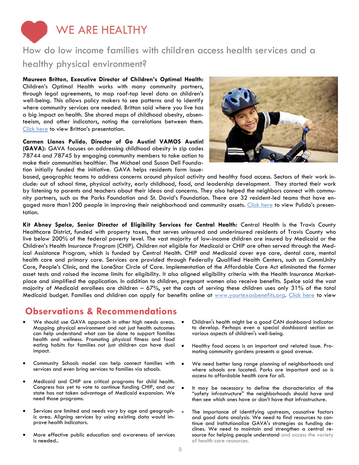

## How do low income families with children access health services and a healthy physical environment?

**Maureen Britton, Executive Director of Children's Optimal Health:**  Children's Optimal Health works with many community partners, through legal agreements, to map roof-top level data on children's well-being. This allows policy makers to see patterns and to identify where community services are needed. Britton said where you live has a big impact on health. She shared maps of childhood obesity, absenteeism, and other indicators, noting the correlations between them. Click here to view Britton's presentation.

**Carmen Llanes Pulido, Director of Go Austin! VAMOS Austin! (GAVA):** GAVA focuses on addressing childhood obesity in zip codes 78744 and 78745 by engaging community members to take action to make their communities healthier. The Michael and Susan Dell Foundation initially funded the initiative. GAVA helps residents form issue-



based, geographic teams to address concerns around physical activity and healthy food access. Sectors of their work include: out of school time, physical activity, early childhood, food, and leadership development. They started their work by listening to parents and teachers about their ideas and concerns. They also helped the neighbors connect with community partners, such as the Parks Foundation and St. David's Foundation. There are 32 resident-led teams that have engaged more than1200 people in improving their neighborhood and community assets. Click here to view Pulido's presentation.

**Kit Abney Spelce, Senior Director of Eligibility Services for Central Health:** Central Health is the Travis County Healthcare District, funded with property taxes, that serves uninsured and underinsured residents of Travis County who live below 200% of the federal poverty level. The vast majority of low-income children are insured by Medicaid or the Children's Health Insurance Program (CHIP). Children not eligible for Medicaid or CHIP are often served through the Medical Assistance Program, which is funded by Central Health. CHIP and Medicaid cover eye care, dental care, mental health care and primary care. Services are provided through Federally Qualified Health Centers, such as CommUnity Care, People's Clinic, and the LoneStar Circle of Care. Implementation of the Affordable Care Act eliminated the former asset tests and raised the income limits for eligibility. It also aligned eligibility criteria with the Health Insurance Marketplace and simplified the application. In addition to children, pregnant women also receive benefits. Spelce said the vast majority of Medicaid enrollees are children – 67%, yet the costs of serving these children uses only 31% of the total Medicaid budget. Families and children can apply for benefits online at www.yourtexasbenefits.org. Click here to view

- We should use GAVA approach in other high needs areas. Mapping physical environment and not just health outcomes can help understand what can be done to support families health and wellness. Promoting physical fitness and food eating habits for families not just children can have dual impact.
- Community Schools model can help connect families with services and even bring services to families via schools.
- Medicaid and CHIP are critical programs for child health. Congress has yet to vote to continue funding CHIP, and our state has not taken advantage of Medicaid expansion. We need those programs.
- Services are limited and needs vary by age and geographic area. Aligning services by using existing data would improve health indicators.
- More effective public education and awareness of services is needed..
- Children's health might be a good CAN dashboard indicator to develop. Perhaps even a special dashboard section on various aspects of children's well-being.
- Healthy food access is an important and related issue. Promoting community gardens presents a good avenue.
- We need better long range planning of neighborhoods and where schools are located. Parks are important and so is access to affordable health care for all.
- $\bullet$  It may be necessary to define the characteristics of the "safety infrastructure" the neighborhoods should have and then see which ones have or don't have that infrastructure.
- The importance of identifying upstream, causative factors and good data analysis. We need to find resources to continue and institutionalize GAVA's strategies as funding declines. We need to maintain and strengthen a central resource for helping people understand and access the variety of health care resources.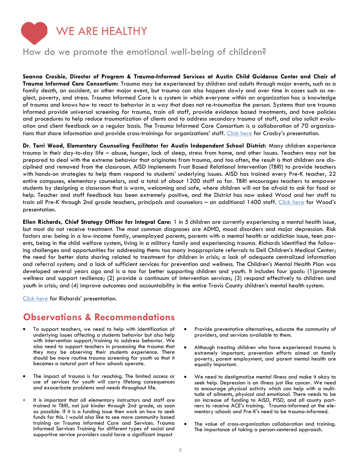

## How do we promote the emotional well-being of children?

**Seanna Crosbie, Director of Program & Trauma-Informed Services at Austin Child Guidance Center and Chair of Trauma Informed Care Consortium:** Trauma may be experienced by children and adults through major events, such as a family death, an accident, or other major event, but trauma can also happen slowly and over time in cases such as neglect, poverty, and stress. Trauma Informed Care is a system in which everyone within an organization has a knowledge of trauma and knows how to react to behavior in a way that does not re-traumatize the person. Systems that are trauma informed provide universal screening for trauma, train all staff, provide evidence based treatments, and have policies and procedures to help reduce traumatization of clients and to address secondary trauma of staff, and also solicit evaluation and client feedback on a regular basis. The Trauma Informed Care Consortium is a collaboration of 70 organizations that share information and provide cross-trainings for organizations' staff. Click here for Crosby's presentation.

**Dr. Terri Wood, Elementary Counseling Facilitator for Austin Independent School District:** Many children experience trauma in their day-to-day life – abuse, hunger, lack of sleep, stress from home, and other issues. Teachers may not be prepared to deal with the extreme behavior that originates from trauma, and too often, the result is that children are disciplined and removed from the classroom. AISD implements Trust Based Relational Intervention (TBRI) to provide teachers with hands-on strategies to help them respond to students' underlying issues. AISD has trained every Pre-K teacher, 22 entire campuses, elementary counselors, and a total of about 1200 staff so far. TBRI encourages teachers to empower students by designing a classroom that is warm, welcoming and safe, where children will not be afraid to ask for food or help. Teacher and staff feedback has been extremely positive, and the District has now asked Wood and her staff to train all Pre-K through 2nd grade teachers, principals and counselors – an additional 1400 staff. Click here for Wood's presentation.

**Ellen Richards, Chief Strategy Officer for Integral Care:** 1 in 5 children are currently experiencing a mental health issue, but most do not receive treatment. The most common diagnoses are ADHD, mood disorders and major depression. Risk factors are: being in a low-income family, unemployed parents, parents with a mental health or addiction issue, teen parents, being in the child welfare system, living in a military family and experiencing trauma. Richards identified the following challenges and opportunities for addressing them: too many inappropriate referrals to Dell Children's Medical Center; the need for better data sharing related to treatment for children in crisis; a lack of adequate centralized information and referral system; and a lack of sufficient services for prevention and wellness. The Children's Mental Health Plan was developed several years ago and is a too for better supporting children and youth. It includes four goals: (1)promote wellness and support resilience; (2) provide a continuum of intervention services; (3) respond effectively to children and youth in crisis; and (4) improve outcomes and accountability in the entire Travis County children's mental health system.

Click here for Richards' presentation.

- To support teachers, we need to help with identification of underlying issues affecting a students behavior but also help with intervention support/training to address behavior. We also need to support teachers in processing the trauma that they may be observing their students experience. There should be more routine trauma screening for youth so that it becomes a natural part of how schools operate.
- The impact of trauma is far reaching. The limited access or use of services for youth will carry lifelong consequences and exacerbate problems and needs throughout life.
- It is important that all elementary instructors and staff are trained in TBRI, not just kinder through 2nd grade, as soon as possible. If it is a funding issue then work on how to seek funds for this. I would also like to see more community based training on Trauma Informed Care and Services. Trauma Informed Services Training for different types of social and supportive service providers could have a significant impact.
- Provide preventative alternatives, educate the community of providers, and services available to them.
- Although treating children who have experienced trauma is extremely important, prevention efforts aimed at family poverty, parent employment, and parent mental health are equally important.
- We need to destigmatize mental illness and make it okay to seek help. Depression is an illness just like cancer. We need to encourage physical activity which can help with a multitude of ailments, physical and emotional. There needs to be an increase of funding to AISD, PISD, and all county partners to receive ACE's training. Trauma-informed at the elementary schools and Pre-K's need to be trauma-informed.
- The value of cross-organization collaboration and training. The importance of taking a person-centered approach.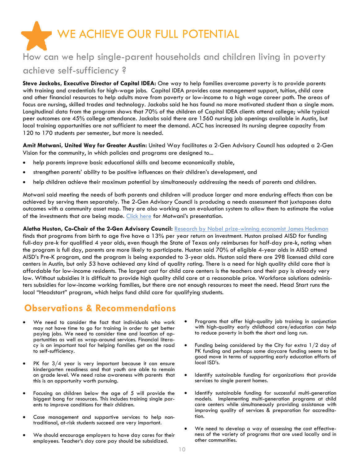WE ACHIEVE OUR FULL POTENTIAL How can we help single-parent households and children living in poverty

### achieve self-sufficiency ?

**Steve Jackobs, Executive Director of Capital IDEA:** One way to help families overcome poverty is to provide parents with training and credentials for high-wage jobs. Capital IDEA provides case management support, tuition, child care and other financial resources to help adults move from poverty or low-income to a high wage career path. The areas of focus are nursing, skilled trades and technology. Jackobs said he has found no more motivated student than a single mom. Longitudinal data from the program shows that 70% of the children of Capital IDEA clients attend college; while typical peer outcomes are 45% college attendance. Jackobs said there are 1560 nursing job openings available in Austin, but local training opportunities are not sufficient to meet the demand. ACC has increased its nursing degree capacity from 120 to 170 students per semester, but more is needed.

**Amit Motwani, United Way for Greater Austin:** United Way facilitates a 2-Gen Advisory Council has adopted a 2-Gen Vision for the community, in which policies and programs are designed to...

- help parents improve basic educational skills and become economically stable,
- strengthen parents' ability to be positive influences on their children's development, and
- help children achieve their maximum potential by simultaneously addressing the needs of parents and children.

Motwani said meeting the needs of both parents and children will produce larger and more enduring effects than can be achieved by serving them separately. The 2-Gen Advisory Council is producing a needs assessment that juxtaposes data outcomes with a community asset map. They are also working on an evaluation system to allow them to estimate the value of the investments that are being made. Click here for Motwani's presentation.

Aletha Huston, Co-Chair of the 2-Gen Advisory Council: Research by Nobel prize-winning economist James Heckman finds that programs from birth to age five have a 13% per year return on investment. Huston praised AISD for funding full-day pre-k for qualified 4 year olds, even though the State of Texas only reimburses for half-day pre-k, noting when the program is full day, parents are more likely to participate. Huston said 70% of eligible 4-year olds in AISD attend AISD's Pre-K program, and the program is being expanded to 3-year olds. Huston said there are 298 licensed child care centers in Austin, but only 53 have achieved any kind of quality rating. There is a need for high quality child care that is affordable for low-income residents. The largest cost for child care centers is the teachers and their pay is already very low. Without subsidies it is difficult to provide high quality child care at a reasonable price. Workforce solutions administers subsidies for low-income working families, but there are not enough resources to meet the need. Head Start runs the local "Headstart" program, which helps fund child care for qualifying students.

- We need to consider the fact that individuals who work may not have time to go for training in order to get better paying jobs. We need to consider time and location of opportunities as well as wrap-around services. Financial literacy is an important tool for helping families get on the road to self-sufficiency.
- PK for 3/4 year is very important because it can ensure kindergarten readiness and that youth are able to remain on grade level. We need raise awareness with parents that this is an opportunity worth pursuing.
- Focusing on children below the age of 5 will provide the biggest bang for resources. This includes training single parents to improve conditions for their children.
- Case management and supportive services to help nontraditional, at-risk students succeed are very important.
- We should encourage employers to have day cares for their employees. Teacher's day care pay should be subsidized.
- Programs that offer high-quality job training in conjunction with high-quality early childhood care/education can help to reduce poverty in both the short and long run.
- Funding being considered by the City for extra 1/2 day of PK funding and perhaps some daycare funding seems to be good move in terms of supporting early education efforts of local ISD's.
- Identify sustainable funding for organizations that provide services to single parent homes.
- Identify sustainable funding for successful multi-generation models. Implementing multi-generation programs at child care centers while simultaneously providing assistance with improving quality of services & preparation for accreditation.
- We need to develop a way of assessing the cost effectiveness of the variety of programs that are used locally and in other communities.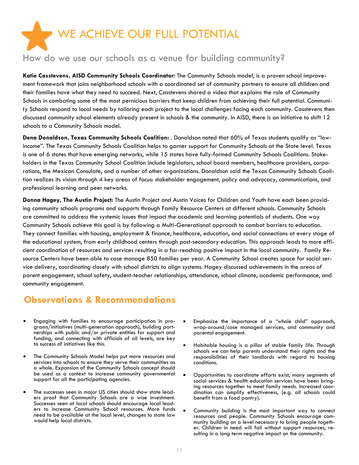

## How do we use our schools as a venue for building community?

**Katie Casstevens, AISD Community Schools Coordinator:** The Community Schools model, is a proven school improvement framework that joins neighborhood schools with a coordinated set of community partners to ensure all children and their families have what they need to succeed. Next, Casstevens shared a video that explains the role of Community Schools in combating some of the most pernicious barriers that keep children from achieving their full potential. Community Schools respond to local needs by tailoring each project to the local challenges facing each community. Casstevens then discussed community school elements already present in schools & the community. In AISD, there is an initiative to shift 12 schools to a Community Schools model.

**Dena Donaldson, Texas Community Schools Coalition:** . Donaldson noted that 60% of Texas students qualify as "lowincome". The Texas Community Schools Coalition helps to garner support for Community Schools at the State level. Texas is one of 6 states that have emerging networks, while 15 states have fully-formed Community Schools Coalitions. Stakeholders in the Texas Community School Coalition include legislators, school board members, healthcare providers, corporations, the Mexican Consulate, and a number of other organizations. Donaldson said the Texas Community Schools Coalition realizes its vision through 4 key areas of focus: stakeholder engagement, policy and advocacy, communications, and professional learning and peer networks.

**Donna Hagey, The Austin Project:** The Austin Project and Austin Voices for Children and Youth have each been providing community schools programs and supports through Family Resource Centers at different schools. Community Schools are committed to address the systemic issues that impact the academic and learning potentials of students. One way Community Schools achieve this goal is by following a Multi-Generational approach to combat barriers to education. They connect families with housing, employment & finance, healthcare, education, and social connections at every stage of the educational system, from early childhood centers through post-secondary education. This approach leads to more efficient coordination of resources and services resulting in a far-reaching positive impact in the local community. Family Resource Centers have been able to case manage 850 families per year. A Community School creates space for social service delivery, coordinating closely with school districts to align systems. Hagey discussed achievements in the areas of parent engagement, school safety, student-teacher relationships, attendance, school climate, academic performance, and community engagement.

- Engaging with families to encourage participation in programs/initiatives (multi-generation approach), building partnerships with public and/or private entities for support and funding, and connecting with officials of all levels, are key to success of initiatives like this.
- The Community Schools Model helps put more resources and services into schools to ensure they serve their communities as a whole. Expansion of the Community Schools concept should be used as a context to increase community governmental support for all the participating agencies.
- The successes seen in major US cities should show state leaders proof that Community Schools are a wise investment. Successes seen at local schools should encourage local leaders to increase Community School resources. More funds need to be available at the local level, changes to state law would help local districts.
- Emphasize the importance of a "whole child" approach, wrap-around/case managed services, and community and parental engagement.
- Habitable housing is a pillar of stable family life. Through schools we can help parents understand their rights and the responsibilities of their landlords with regard to housing conditions.
- Opportunities to coordinate efforts exist, many segments of social services & health education services have been bringing resources together to meet family needs. Increased coordination can amplify effectiveness, (e.g. all schools could benefit from a food pantry).
- Community building is the most important way to connect resources and people. Community Schools encourage community building on a level necessary to bring people together. Children in need will fail without support resources, resulting in a long term negative impact on the community.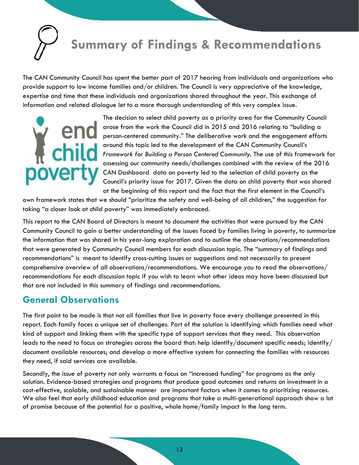

The CAN Community Council has spent the better part of 2017 hearing from individuals and organizations who provide support to low income families and/or children. The Council is very appreciative of the knowledge, expertise and time that these individuals and organizations shared throughout the year. This exchange of information and related dialogue let to a more thorough understanding of this very complex issue.



The decision to select child poverty as a priority area for the Community Council arose from the work the Council did in 2015 and 2016 relating to "building a person-centered community." The deliberative work and the engagement efforts around this topic led to the development of the CAN Community Council's **Framework for Building a Person Centered Community. The use of this framework for Building a Person Centered Community. The use of this framework for** assessing our community needs/challenges combined with the review of the 2016 CAN Dashboard data on poverty led to the selection of child poverty as the Council's priority issue for 2017. Given the data on child poverty that was shared at the beginning of this report and the fact that the first element in the Council's

own framework states that we should "prioritize the safety and well-being of all children," the suggestion for taking "a closer look at child poverty" was immediately embraced.

This report to the CAN Board of Directors is meant to document the activities that were pursued by the CAN Community Council to gain a better understanding of the issues faced by families living in poverty, to summarize the information that was shared in his year-long exploration and to outline the observations/recommendations that were generated by Community Council members for each discussion topic. The "summary of findings and recommendations" is meant to identify cross-cutting issues or suggestions and not necessarily to present comprehensive overview of all observations/recommendations. We encourage you to read the observations/ recommendations for each discussion topic if you wish to learn what other ideas may have been discussed but that are not included in this summary of findings and recommendations.

## **General Observations**

The first point to be made is that not all families that live in poverty face every challenge presented in this report. Each family faces a unique set of challenges. Part of the solution is identifying which families need what kind of support and linking them with the specific type of support services that they need. This observation leads to the need to focus on strategies across the board that: help identify/document specific needs; identify/ document available resources; and develop a more effective system for connecting the families with resources they need, if said services are available.

Secondly, the issue of poverty not only warrants a focus on "increased funding" for programs as the only solution. Evidence-based strategies and programs that produce good outcomes and returns on investment in a cost-effective, scalable, and sustainable manner are important factors when it comes to prioritizing resources. We also feel that early childhood education and programs that take a multi-generational approach show a lot of promise because of the potential for a positive, whole home/family impact in the long term.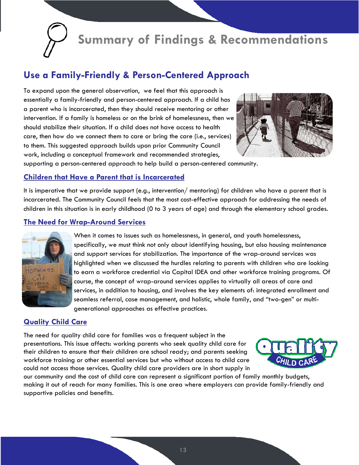

## **Use a Family-Friendly & Person-Centered Approach**

To expand upon the general observation, we feel that this approach is essentially a family-friendly and person-centered approach. If a child has a parent who is incarcerated, then they should receive mentoring or other intervention. If a family is homeless or on the brink of homelessness, then we should stabilize their situation. If a child does not have access to health care, then how do we connect them to care or bring the care (i.e., services) to them. This suggested approach builds upon prior Community Council work, including a conceptual framework and recommended strategies,



supporting a person-centered approach to help build a person-centered community.

#### **Children that Have a Parent that is Incarcerated**

It is imperative that we provide support (e.g., intervention/ mentoring) for children who have a parent that is incarcerated. The Community Council feels that the most cost-effective approach for addressing the needs of children in this situation is in early childhood (0 to 3 years of age) and through the elementary school grades.

#### **The Need for Wrap-Around Services**



When it comes to issues such as homelessness, in general, and youth homelessness, specifically, we must think not only about identifying housing, but also housing maintenance and support services for stabilization. The importance of the wrap-around services was highlighted when we discussed the hurdles relating to parents with children who are looking to earn a workforce credential via Capital IDEA and other workforce training programs. Of course, the concept of wrap-around services applies to virtually all areas of care and services, in addition to housing, and involves the key elements of: integrated enrollment and seamless referral, case management, and holistic, whole family, and "two-gen" or multigenerational approaches as effective practices.

#### **Quality Child Care**

The need for quality child care for families was a frequent subject in the presentations. This issue affects: working parents who seek quality child care for their children to ensure that their children are school ready; and parents seeking workforce training or other essential services but who without access to child care could not access those services. Quality child care providers are in short supply in



our community and the cost of child care can represent a significant portion of family monthly budgets, making it out of reach for many families. This is one area where employers can provide family-friendly and supportive policies and benefits.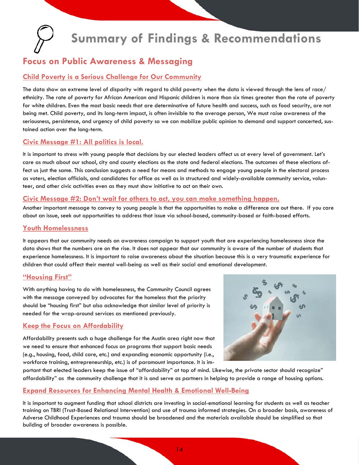## **Focus on Public Awareness & Messaging**

#### **Child Poverty is a Serious Challenge for Our Community**

The data show an extreme level of disparity with regard to child poverty when the data is viewed through the lens of race/ ethnicity. The rate of poverty for African American and Hispanic children is more than six times greater than the rate of poverty for white children. Even the most basic needs that are determinative of future health and success, such as food security, are not being met. Child poverty, and its long-term impact, is often invisible to the average person, We must raise awareness of the seriousness, persistence, and urgency of child poverty so we can mobilize public opinion to demand and support concerted, sustained action over the long-term.

#### **Civic Message #1: All politics is local.**

It is important to stress with young people that decisions by our elected leaders affect us at every level of government. Let's care as much about our school, city and county elections as the state and federal elections. The outcomes of these elections affect us just the same. This conclusion suggests a need for means and methods to engage young people in the electoral process as voters, election officials, and candidates for office as well as in structured and widely-available community service, volunteer, and other civic activities even as they must show initiative to act on their own.

#### **Civic Message #2: Don't wait for others to act, you can make something happen.**

Another important message to convey to young people is that the opportunities to make a difference are out there. If you care about an issue, seek out opportunities to address that issue via school-based, community-based or faith-based efforts.

#### **Youth Homelessness**

It appears that our community needs an awareness campaign to support youth that are experiencing homelessness since the data shows that the numbers are on the rise. It does not appear that our community is aware of the number of students that experience homelessness. It is important to raise awareness about the situation because this is a very traumatic experience for children that could affect their mental well-being as well as their social and emotional development.

#### **"Housing First"**

With anything having to do with homelessness, the Community Council agrees with the message conveyed by advocates for the homeless that the priority should be "housing first" but also acknowledge that similar level of priority is needed for the wrap-around services as mentioned previously.

#### **Keep the Focus on Affordability**

Affordability presents such a huge challenge for the Austin area right now that we need to ensure that enhanced focus on programs that support basic needs (e.g., housing, food, child care, etc.) and expanding economic opportunity (i.e., workforce training, entrepreneurship, etc.) is of paramount importance. It is im-



portant that elected leaders keep the issue of "affordability" at top of mind. Likewise, the private sector should recognize" affordability" as the community challenge that it is and serve as partners in helping to provide a range of housing options.

#### **Expand Resources for Enhancing Mental Health & Emotional Well-Being**

It is important to augment funding that school districts are investing in social-emotional learning for students as well as teacher training on TBRI (Trust-Based Relational Intervention) and use of trauma informed strategies. On a broader basis, awareness of Adverse Childhood Experiences and trauma should be broadened and the materials available should be simplified so that building of broader awareness is possible.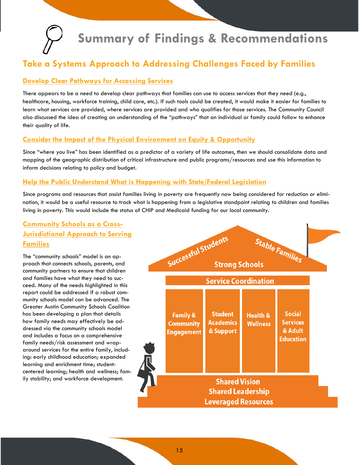

## **Take a Systems Approach to Addressing Challenges Faced by Families**

#### **Develop Clear Pathways for Accessing Services**

There appears to be a need to develop clear pathways that families can use to access services that they need (e.g., healthcare, housing, workforce training, child care, etc.). If such tools could be created, it would make it easier for families to learn what services are provided, where services are provided and who qualifies for those services. The Community Council also discussed the idea of creating an understanding of the "pathways" that an individual or family could follow to enhance their quality of life.

#### **Consider the Impact of the Physical Environment on Equity & Opportunity**

Since "where you live" has been identified as a predictor of a variety of life outcomes, then we should consolidate data and mapping of the geographic distribution of critical infrastructure and public programs/resources and use this information to inform decisions relating to policy and budget.

#### **Help the Public Understand What is Happening with State/Federal Legislation**

Since programs and resources that assist families living in poverty are frequently now being considered for reduction or elimination, it would be a useful resource to track what is happening from a legislative standpoint relating to children and families living in poverty. This would include the status of CHIP and Medicaid funding for our local community.

#### **Community Schools as a Cross-Jurisdictional Approach to Serving Families**

The "community schools" model is an approach that connects schools, parents, and community partners to ensure that children and families have what they need to succeed. Many of the needs highlighted in this report could be addressed if a robust community schools model can be advanced. The Greater Austin Community Schools Coalition has been developing a plan that details how family needs may effectively be addressed via the community schools model and includes a focus on a comprehensive family needs/risk assessment and wraparound services for the entire family, including: early childhood education; expanded learning and enrichment time; studentcentered learning; health and wellness; family stability; and workforce development.